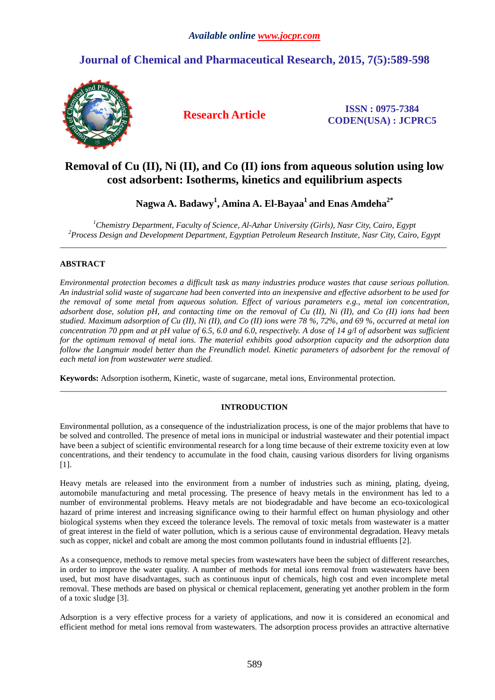# **Journal of Chemical and Pharmaceutical Research, 2015, 7(5):589-598**



**Research Article ISSN : 0975-7384 CODEN(USA) : JCPRC5**

# **Removal of Cu (II), Ni (II), and Co (II) ions from aqueous solution using low cost adsorbent: Isotherms, kinetics and equilibrium aspects**

**Nagwa A. Badawy<sup>1</sup> , Amina A. El-Bayaa<sup>1</sup>and Enas Amdeha2\*** 

*<sup>1</sup>Chemistry Department, Faculty of Science, Al-Azhar University (Girls), Nasr City, Cairo, Egypt <sup>2</sup>Process Design and Development Department, Egyptian Petroleum Research Institute, Nasr City, Cairo, Egypt*   $\overline{a}$  , and the contribution of the contribution of the contribution of the contribution of the contribution of the contribution of the contribution of the contribution of the contribution of the contribution of the co

# **ABSTRACT**

*Environmental protection becomes a difficult task as many industries produce wastes that cause serious pollution. An industrial solid waste of sugarcane had been converted into an inexpensive and effective adsorbent to be used for the removal of some metal from aqueous solution. Effect of various parameters e.g., metal ion concentration, adsorbent dose, solution pH, and contacting time on the removal of Cu (II), Ni (II), and Co (II) ions had been studied. Maximum adsorption of Cu (II), Ni (II), and Co (II) ions were 78 %, 72%, and 69 %, occurred at metal ion concentration 70 ppm and at pH value of 6.5, 6.0 and 6.0, respectively. A dose of 14 g/l of adsorbent was sufficient for the optimum removal of metal ions. The material exhibits good adsorption capacity and the adsorption data follow the Langmuir model better than the Freundlich model. Kinetic parameters of adsorbent for the removal of each metal ion from wastewater were studied.* 

**Keywords:** Adsorption isotherm, Kinetic, waste of sugarcane, metal ions, Environmental protection.

# **INTRODUCTION**

\_\_\_\_\_\_\_\_\_\_\_\_\_\_\_\_\_\_\_\_\_\_\_\_\_\_\_\_\_\_\_\_\_\_\_\_\_\_\_\_\_\_\_\_\_\_\_\_\_\_\_\_\_\_\_\_\_\_\_\_\_\_\_\_\_\_\_\_\_\_\_\_\_\_\_\_\_\_\_\_\_\_\_\_\_\_\_\_\_\_\_\_\_

Environmental pollution, as a consequence of the industrialization process, is one of the major problems that have to be solved and controlled. The presence of metal ions in municipal or industrial wastewater and their potential impact have been a subject of scientific environmental research for a long time because of their extreme toxicity even at low concentrations, and their tendency to accumulate in the food chain, causing various disorders for living organisms [1].

Heavy metals are released into the environment from a number of industries such as mining, plating, dyeing, automobile manufacturing and metal processing. The presence of heavy metals in the environment has led to a number of environmental problems. Heavy metals are not biodegradable and have become an eco-toxicological hazard of prime interest and increasing significance owing to their harmful effect on human physiology and other biological systems when they exceed the tolerance levels. The removal of toxic metals from wastewater is a matter of great interest in the field of water pollution, which is a serious cause of environmental degradation. Heavy metals such as copper, nickel and cobalt are among the most common pollutants found in industrial effluents [2].

As a consequence, methods to remove metal species from wastewaters have been the subject of different researches, in order to improve the water quality. A number of methods for metal ions removal from wastewaters have been used, but most have disadvantages, such as continuous input of chemicals, high cost and even incomplete metal removal. These methods are based on physical or chemical replacement, generating yet another problem in the form of a toxic sludge [3].

Adsorption is a very effective process for a variety of applications, and now it is considered an economical and efficient method for metal ions removal from wastewaters. The adsorption process provides an attractive alternative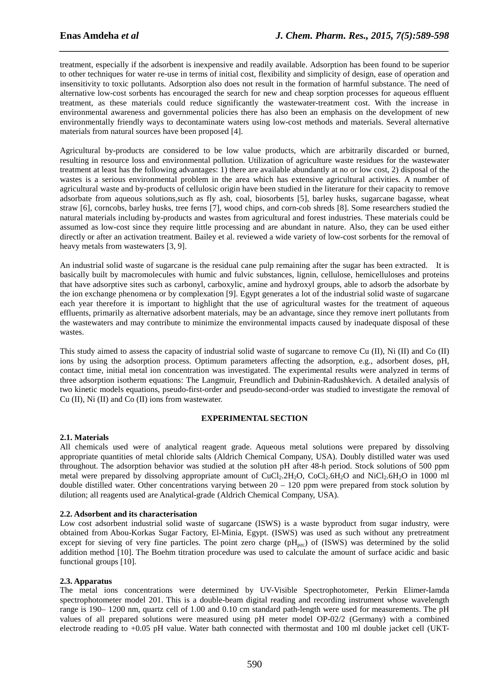treatment, especially if the adsorbent is inexpensive and readily available. Adsorption has been found to be superior to other techniques for water re-use in terms of initial cost, flexibility and simplicity of design, ease of operation and insensitivity to toxic pollutants. Adsorption also does not result in the formation of harmful substance. The need of alternative low-cost sorbents has encouraged the search for new and cheap sorption processes for aqueous effluent treatment, as these materials could reduce significantly the wastewater-treatment cost. With the increase in environmental awareness and governmental policies there has also been an emphasis on the development of new environmentally friendly ways to decontaminate waters using low-cost methods and materials. Several alternative materials from natural sources have been proposed [4].

*\_\_\_\_\_\_\_\_\_\_\_\_\_\_\_\_\_\_\_\_\_\_\_\_\_\_\_\_\_\_\_\_\_\_\_\_\_\_\_\_\_\_\_\_\_\_\_\_\_\_\_\_\_\_\_\_\_\_\_\_\_\_\_\_\_\_\_\_\_\_\_\_\_\_\_\_\_\_*

Agricultural by-products are considered to be low value products, which are arbitrarily discarded or burned, resulting in resource loss and environmental pollution. Utilization of agriculture waste residues for the wastewater treatment at least has the following advantages: 1) there are available abundantly at no or low cost, 2) disposal of the wastes is a serious environmental problem in the area which has extensive agricultural activities. A number of agricultural waste and by-products of cellulosic origin have been studied in the literature for their capacity to remove adsorbate from aqueous solutions,such as fly ash, coal, biosorbents [5], barley husks, sugarcane bagasse, wheat straw [6], corncobs, barley husks, tree ferns [7], wood chips, and corn-cob shreds [8]. Some researchers studied the natural materials including by-products and wastes from agricultural and forest industries. These materials could be assumed as low-cost since they require little processing and are abundant in nature. Also, they can be used either directly or after an activation treatment. Bailey et al. reviewed a wide variety of low-cost sorbents for the removal of heavy metals from wastewaters [3, 9].

An industrial solid waste of sugarcane is the residual cane pulp remaining after the sugar has been extracted. It is basically built by macromolecules with humic and fulvic substances, lignin, cellulose, hemicelluloses and proteins that have adsorptive sites such as carbonyl, carboxylic, amine and hydroxyl groups, able to adsorb the adsorbate by the ion exchange phenomena or by complexation [9]. Egypt generates a lot of the industrial solid waste of sugarcane each year therefore it is important to highlight that the use of agricultural wastes for the treatment of aqueous effluents, primarily as alternative adsorbent materials, may be an advantage, since they remove inert pollutants from the wastewaters and may contribute to minimize the environmental impacts caused by inadequate disposal of these wastes.

This study aimed to assess the capacity of industrial solid waste of sugarcane to remove Cu (II), Ni (II) and Co (II) ions by using the adsorption process. Optimum parameters affecting the adsorption, e.g., adsorbent doses, pH, contact time, initial metal ion concentration was investigated. The experimental results were analyzed in terms of three adsorption isotherm equations: The Langmuir, Freundlich and Dubinin-Radushkevich. A detailed analysis of two kinetic models equations, pseudo-first-order and pseudo-second-order was studied to investigate the removal of Cu (II), Ni (II) and Co (II) ions from wastewater.

# **EXPERIMENTAL SECTION**

# **2.1. Materials**

All chemicals used were of analytical reagent grade. Aqueous metal solutions were prepared by dissolving appropriate quantities of metal chloride salts (Aldrich Chemical Company, USA). Doubly distilled water was used throughout. The adsorption behavior was studied at the solution pH after 48-h period. Stock solutions of 500 ppm metal were prepared by dissolving appropriate amount of  $CuCl<sub>2</sub>2H<sub>2</sub>O$ ,  $CoCl<sub>2</sub>6H<sub>2</sub>O$  and  $NiCl<sub>2</sub>6H<sub>2</sub>O$  in 1000 ml double distilled water. Other concentrations varying between  $20 - 120$  ppm were prepared from stock solution by dilution; all reagents used are Analytical-grade (Aldrich Chemical Company, USA).

# **2.2. Adsorbent and its characterisation**

Low cost adsorbent industrial solid waste of sugarcane (ISWS) is a waste byproduct from sugar industry, were obtained from Abou-Korkas Sugar Factory, El-Minia, Egypt. (ISWS) was used as such without any pretreatment except for sieving of very fine particles. The point zero charge ( $pH_{pze}$ ) of (ISWS) was determined by the solid addition method [10]. The Boehm titration procedure was used to calculate the amount of surface acidic and basic functional groups [10].

# **2.3. Apparatus**

The metal ions concentrations were determined by UV-Visible Spectrophotometer, Perkin Elimer-Iamda spectrophotometer model 201. This is a double-beam digital reading and recording instrument whose wavelength range is 190– 1200 nm, quartz cell of 1.00 and 0.10 cm standard path-length were used for measurements. The pH values of all prepared solutions were measured using pH meter model OP-02/2 (Germany) with a combined electrode reading to +0.05 pH value. Water bath connected with thermostat and 100 ml double jacket cell (UKT-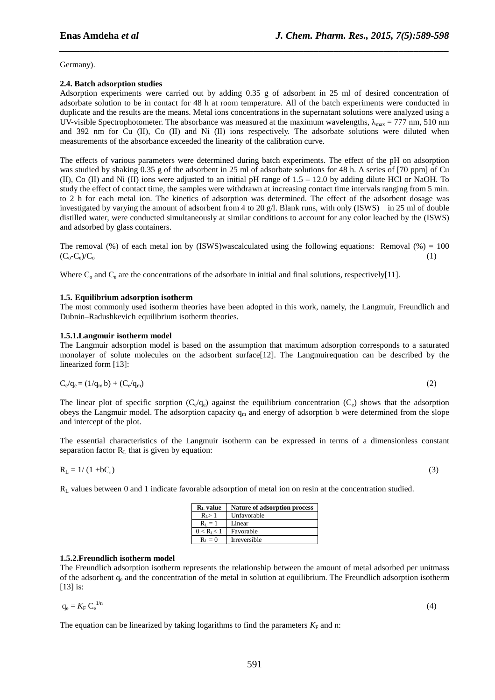Germany).

# **2.4. Batch adsorption studies**

Adsorption experiments were carried out by adding 0.35 g of adsorbent in 25 ml of desired concentration of adsorbate solution to be in contact for 48 h at room temperature. All of the batch experiments were conducted in duplicate and the results are the means. Metal ions concentrations in the supernatant solutions were analyzed using a UV-visible Spectrophotometer. The absorbance was measured at the maximum wavelengths,  $\lambda_{\text{max}} = 777$  nm, 510 nm and 392 nm for Cu (II), Co (II) and Ni (II) ions respectively. The adsorbate solutions were diluted when measurements of the absorbance exceeded the linearity of the calibration curve.

*\_\_\_\_\_\_\_\_\_\_\_\_\_\_\_\_\_\_\_\_\_\_\_\_\_\_\_\_\_\_\_\_\_\_\_\_\_\_\_\_\_\_\_\_\_\_\_\_\_\_\_\_\_\_\_\_\_\_\_\_\_\_\_\_\_\_\_\_\_\_\_\_\_\_\_\_\_\_*

The effects of various parameters were determined during batch experiments. The effect of the pH on adsorption was studied by shaking 0.35 g of the adsorbent in 25 ml of adsorbate solutions for 48 h. A series of [70 ppm] of Cu (II), Co (II) and Ni (II) ions were adjusted to an initial pH range of  $1.5 - 12.0$  by adding dilute HCl or NaOH. To study the effect of contact time, the samples were withdrawn at increasing contact time intervals ranging from 5 min. to 2 h for each metal ion. The kinetics of adsorption was determined. The effect of the adsorbent dosage was investigated by varying the amount of adsorbent from 4 to 20 g/l. Blank runs, with only (ISWS) in 25 ml of double distilled water, were conducted simultaneously at similar conditions to account for any color leached by the (ISWS) and adsorbed by glass containers.

The removal (%) of each metal ion by (ISWS)wascalculated using the following equations: Removal (%) = 100  $(C_0-C_e)/C_0$  (1)

Where  $C_0$  and  $C_e$  are the concentrations of the adsorbate in initial and final solutions, respectively[11].

# **1.5. Equilibrium adsorption isotherm**

The most commonly used isotherm theories have been adopted in this work, namely, the Langmuir, Freundlich and Dubnin–Radushkevich equilibrium isotherm theories.

# **1.5.1.Langmuir isotherm model**

The Langmuir adsorption model is based on the assumption that maximum adsorption corresponds to a saturated monolayer of solute molecules on the adsorbent surface[12]. The Langmuirequation can be described by the linearized form [13]:

$$
C_e/q_e = (1/q_m b) + (C_e/q_m)
$$
\n
$$
(2)
$$

The linear plot of specific sorption  $(C_e/q_e)$  against the equilibrium concentration  $(C_e)$  shows that the adsorption obeys the Langmuir model. The adsorption capacity  $q_m$  and energy of adsorption b were determined from the slope and intercept of the plot.

The essential characteristics of the Langmuir isotherm can be expressed in terms of a dimensionless constant separation factor  $R<sub>L</sub>$  that is given by equation:

$$
R_{L} = 1/(1 + bC_{0})
$$
\n
$$
(3)
$$

 $R<sub>L</sub>$  values between 0 and 1 indicate favorable adsorption of metal ion on resin at the concentration studied.

| $RL$ value      | Nature of adsorption process |
|-----------------|------------------------------|
| $R_{I} > 1$     | Unfavorable                  |
| $R_L = 1$       | Linear                       |
| $0 < R_{I} < 1$ | Favorable                    |
| $R_I = 0$       | Irreversible                 |

# **1.5.2.Freundlich isotherm model**

The Freundlich adsorption isotherm represents the relationship between the amount of metal adsorbed per unitmass of the adsorbent  $q_e$  and the concentration of the metal in solution at equilibrium. The Freundlich adsorption isotherm [13] is:

$$
q_e = K_F C_e^{1/n}
$$
 (4)

The equation can be linearized by taking logarithms to find the parameters  $K_F$  and n: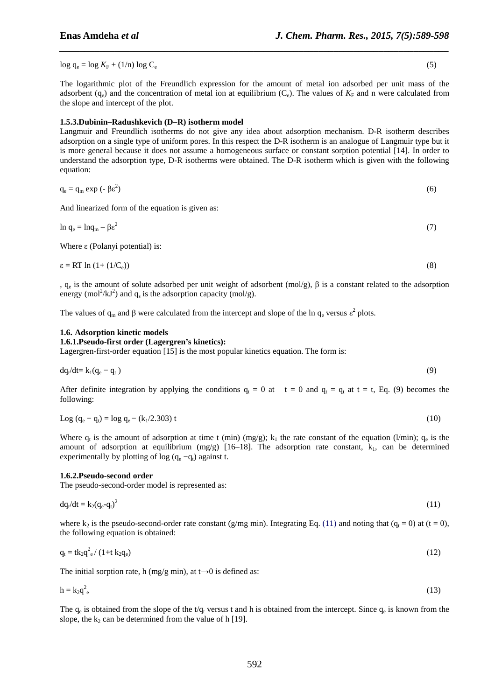$log q_e = log K_F + (1/n) log C_e$ 

The logarithmic plot of the Freundlich expression for the amount of metal ion adsorbed per unit mass of the adsorbent  $(q_e)$  and the concentration of metal ion at equilibrium  $(C_e)$ . The values of  $K_F$  and n were calculated from the slope and intercept of the plot.

*\_\_\_\_\_\_\_\_\_\_\_\_\_\_\_\_\_\_\_\_\_\_\_\_\_\_\_\_\_\_\_\_\_\_\_\_\_\_\_\_\_\_\_\_\_\_\_\_\_\_\_\_\_\_\_\_\_\_\_\_\_\_\_\_\_\_\_\_\_\_\_\_\_\_\_\_\_\_*

## **1.5.3.Dubinin–Radushkevich (D–R) isotherm model**

Langmuir and Freundlich isotherms do not give any idea about adsorption mechanism. D-R isotherm describes adsorption on a single type of uniform pores. In this respect the D-R isotherm is an analogue of Langmuir type but it is more general because it does not assume a homogeneous surface or constant sorption potential [14]. In order to understand the adsorption type, D-R isotherms were obtained. The D-R isotherm which is given with the following equation:

$$
q_e = q_m \exp\left(-\beta \varepsilon^2\right) \tag{6}
$$

And linearized form of the equation is given as:

$$
\ln q_e = \ln q_m - \beta \epsilon^2 \tag{7}
$$

Where ε (Polanyi potential) is:

$$
\varepsilon = RT \ln \left( 1 + (1/C_e) \right) \tag{8}
$$

,  $q_e$  is the amount of solute adsorbed per unit weight of adsorbent (mol/g),  $\beta$  is a constant related to the adsorption energy (mol<sup>2</sup>/kJ<sup>2</sup>) and  $q_s$  is the adsorption capacity (mol/g).

The values of  $q_m$  and  $\beta$  were calculated from the intercept and slope of the ln  $q_e$  versus  $\epsilon^2$  plots.

#### **1.6. Adsorption kinetic models**

## **1.6.1.Pseudo-first order (Lagergren's kinetics):**

Lagergren-first-order equation [15] is the most popular kinetics equation. The form is:

$$
dq_t/dt = k_1(q_e - q_t) \tag{9}
$$

After definite integration by applying the conditions  $q_t = 0$  at  $t = 0$  and  $q_t = q_t$  at  $t = t$ , Eq. (9) becomes the following:

$$
Log (q_e - q_t) = log q_e - (k_1/2.303) t
$$
\n(10)

Where  $q_t$  is the amount of adsorption at time t (min) (mg/g);  $k_1$  the rate constant of the equation (l/min);  $q_e$  is the amount of adsorption at equilibrium (mg/g)  $[16–18]$ . The adsorption rate constant,  $k_1$ , can be determined experimentally by plotting of  $log (q_e - q_t)$  against t.

#### **1.6.2.Pseudo-second order**

The pseudo-second-order model is represented as:

$$
\mathrm{d}q_t/\mathrm{d}t = k_2(q_e - q_t)^2 \tag{11}
$$

where  $k_2$  is the pseudo-second-order rate constant (g/mg min). Integrating Eq. (11) and noting that ( $q_t = 0$ ) at (t = 0), the following equation is obtained:

$$
q_t = tk_2 q_e^2 / (1 + t k_2 q_e)
$$
\n
$$
(12)
$$

The initial sorption rate, h (mg/g min), at  $t\rightarrow 0$  is defined as:

$$
h = k_2 q^2_e \tag{13}
$$

The  $q_e$  is obtained from the slope of the t/ $q_t$  versus t and h is obtained from the intercept. Since  $q_e$  is known from the slope, the  $k_2$  can be determined from the value of h [19].

(5)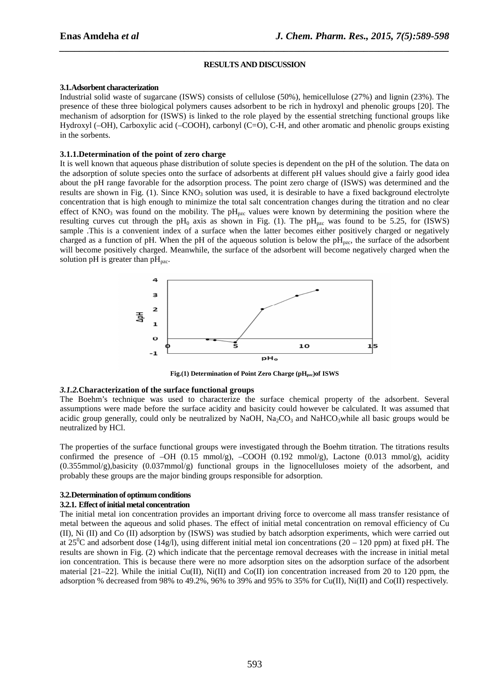#### **RESULTS AND DISCUSSION**

*\_\_\_\_\_\_\_\_\_\_\_\_\_\_\_\_\_\_\_\_\_\_\_\_\_\_\_\_\_\_\_\_\_\_\_\_\_\_\_\_\_\_\_\_\_\_\_\_\_\_\_\_\_\_\_\_\_\_\_\_\_\_\_\_\_\_\_\_\_\_\_\_\_\_\_\_\_\_*

#### **3.1.Adsorbent characterization**

Industrial solid waste of sugarcane (ISWS) consists of cellulose (50%), hemicellulose (27%) and lignin (23%). The presence of these three biological polymers causes adsorbent to be rich in hydroxyl and phenolic groups [20]. The mechanism of adsorption for (ISWS) is linked to the role played by the essential stretching functional groups like Hydroxyl (–OH), Carboxylic acid (–COOH), carbonyl (C=O), C-H, and other aromatic and phenolic groups existing in the sorbents.

## **3.1.1.Determination of the point of zero charge**

It is well known that aqueous phase distribution of solute species is dependent on the pH of the solution. The data on the adsorption of solute species onto the surface of adsorbents at different pH values should give a fairly good idea about the pH range favorable for the adsorption process. The point zero charge of (ISWS) was determined and the results are shown in Fig. (1). Since  $KNO<sub>3</sub>$  solution was used, it is desirable to have a fixed background electrolyte concentration that is high enough to minimize the total salt concentration changes during the titration and no clear effect of KNO<sub>3</sub> was found on the mobility. The  $pH_{pzc}$  values were known by determining the position where the resulting curves cut through the  $pH_0$  axis as shown in Fig. (1). The  $pH_{pzc}$  was found to be 5.25, for (ISWS) sample .This is a convenient index of a surface when the latter becomes either positively charged or negatively charged as a function of pH. When the pH of the aqueous solution is below the  $pH_{pzc}$ , the surface of the adsorbent will become positively charged. Meanwhile, the surface of the adsorbent will become negatively charged when the solution pH is greater than  $pH_{\text{pzc}}$ .



**Fig.(1) Determination of Point Zero Charge (pH<sub>pzc</sub>)of ISWS** 

#### *3.1.2.***Characterization of the surface functional groups**

The Boehm's technique was used to characterize the surface chemical property of the adsorbent. Several assumptions were made before the surface acidity and basicity could however be calculated. It was assumed that acidic group generally, could only be neutralized by NaOH,  $Na_2CO_3$  and NaHCO<sub>3</sub>while all basic groups would be neutralized by HCl.

The properties of the surface functional groups were investigated through the Boehm titration. The titrations results confirmed the presence of  $-OH$  (0.15 mmol/g),  $-COOH$  (0.192 mmol/g), Lactone (0.013 mmol/g), acidity (0.355mmol/g),basicity (0.037mmol/g) functional groups in the lignocelluloses moiety of the adsorbent, and probably these groups are the major binding groups responsible for adsorption.

# **3.2.Determination of optimum conditions**

#### **3.2.1. Effect of initial metal concentration**

The initial metal ion concentration provides an important driving force to overcome all mass transfer resistance of metal between the aqueous and solid phases. The effect of initial metal concentration on removal efficiency of Cu (II), Ni (II) and Co (II) adsorption by (ISWS) was studied by batch adsorption experiments, which were carried out at  $25^{\circ}$ C and adsorbent dose (14g/l), using different initial metal ion concentrations (20 – 120 ppm) at fixed pH. The results are shown in Fig. (2) which indicate that the percentage removal decreases with the increase in initial metal ion concentration. This is because there were no more adsorption sites on the adsorption surface of the adsorbent material  $[21-22]$ . While the initial Cu(II), Ni(II) and Co(II) ion concentration increased from 20 to 120 ppm, the adsorption % decreased from 98% to 49.2%, 96% to 39% and 95% to 35% for Cu(II), Ni(II) and Co(II) respectively.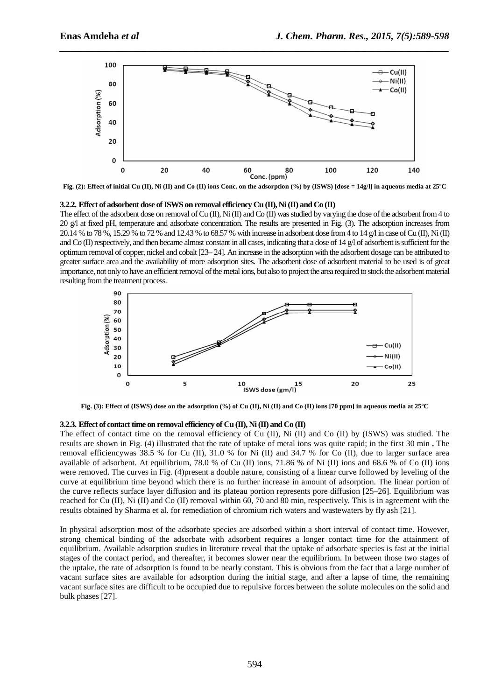

*\_\_\_\_\_\_\_\_\_\_\_\_\_\_\_\_\_\_\_\_\_\_\_\_\_\_\_\_\_\_\_\_\_\_\_\_\_\_\_\_\_\_\_\_\_\_\_\_\_\_\_\_\_\_\_\_\_\_\_\_\_\_\_\_\_\_\_\_\_\_\_\_\_\_\_\_\_\_*

**Fig. (2): Effect of initial Cu (II), Ni (II) and Co (II) ions Conc. on the adsorption (%) by (ISWS) [dose = 14g/l] in aqueous media at 25ºC** 

#### **3.2.2. Effect of adsorbent dose of ISWS on removal efficiency Cu (II), Ni (II) and Co (II)**

The effect of the adsorbent dose on removal of Cu (II), Ni (II) and Co (II) was studied by varying the dose of the adsorbent from 4 to 20 g/l at fixed pH, temperature and adsorbate concentration. The results are presented in Fig. (3). The adsorption increases from 20.14 % to 78 %, 15.29 % to 72 % and 12.43 % to 68.57 % with increase in adsorbent dose from 4 to 14 g/l in case of Cu (II), Ni (II) and Co (II) respectively, and then became almost constant in all cases, indicating that a dose of 14 g/l of adsorbent is sufficient for the optimum removal of copper, nickel and cobalt [23– 24]. An increase in the adsorption with the adsorbent dosage can be attributed to greater surface area and the availability of more adsorption sites. The adsorbent dose of adsorbent material to be used is of great importance, not only to have an efficient removal of the metal ions, but also to project the area required to stock the adsorbent material resulting from the treatment process.



**Fig. (3): Effect of (ISWS) dose on the adsorption (%) of Cu (II), Ni (II) and Co (II) ions [70 ppm] in aqueous media at 25ºC** 

#### **3.2.3. Effect of contact time on removal efficiency of Cu (II), Ni (II) and Co (II)**

The effect of contact time on the removal efficiency of Cu (II), Ni (II) and Co (II) by (ISWS) was studied. The results are shown in Fig. (4) illustrated that the rate of uptake of metal ions was quite rapid; in the first 30 min **.** The removal efficiencywas 38.5 % for Cu (II), 31.0 % for Ni (II) and 34.7 % for Co (II), due to larger surface area available of adsorbent. At equilibrium, 78.0 % of Cu (II) ions, 71.86 % of Ni (II) ions and 68.6 % of Co (II) ions were removed. The curves in Fig. (4)present a double nature, consisting of a linear curve followed by leveling of the curve at equilibrium time beyond which there is no further increase in amount of adsorption. The linear portion of the curve reflects surface layer diffusion and its plateau portion represents pore diffusion [25–26]. Equilibrium was reached for Cu (II), Ni (II) and Co (II) removal within 60, 70 and 80 min, respectively. This is in agreement with the results obtained by Sharma et al. for remediation of chromium rich waters and wastewaters by fly ash [21].

In physical adsorption most of the adsorbate species are adsorbed within a short interval of contact time. However, strong chemical binding of the adsorbate with adsorbent requires a longer contact time for the attainment of equilibrium. Available adsorption studies in literature reveal that the uptake of adsorbate species is fast at the initial stages of the contact period, and thereafter, it becomes slower near the equilibrium. In between those two stages of the uptake, the rate of adsorption is found to be nearly constant. This is obvious from the fact that a large number of vacant surface sites are available for adsorption during the initial stage, and after a lapse of time, the remaining vacant surface sites are difficult to be occupied due to repulsive forces between the solute molecules on the solid and bulk phases [27].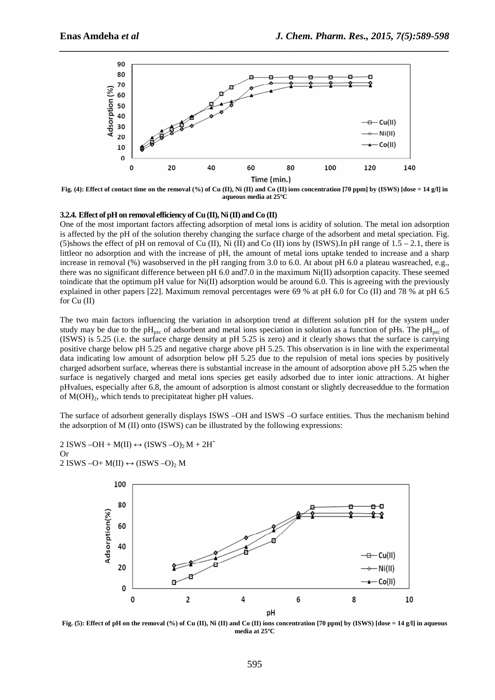

*\_\_\_\_\_\_\_\_\_\_\_\_\_\_\_\_\_\_\_\_\_\_\_\_\_\_\_\_\_\_\_\_\_\_\_\_\_\_\_\_\_\_\_\_\_\_\_\_\_\_\_\_\_\_\_\_\_\_\_\_\_\_\_\_\_\_\_\_\_\_\_\_\_\_\_\_\_\_*

**Fig. (4): Effect of contact time on the removal (%) of Cu (II), Ni (II) and Co (II) ions concentration [70 ppm] by (ISWS) [dose = 14 g/l] in aqueous media at 25ºC** 

#### **3.2.4. Effect of pH on removal efficiency of Cu (II), Ni (II) and Co (II)**

One of the most important factors affecting adsorption of metal ions is acidity of solution. The metal ion adsorption is affected by the pH of the solution thereby changing the surface charge of the adsorbent and metal speciation. Fig. (5)shows the effect of pH on removal of Cu (II), Ni (II) and Co (II) ions by (ISWS).In pH range of  $1.5 - 2.1$ , there is littleor no adsorption and with the increase of pH, the amount of metal ions uptake tended to increase and a sharp increase in removal (%) wasobserved in the pH ranging from 3.0 to 6.0. At about pH 6.0 a plateau wasreached, e.g., there was no significant difference between pH 6.0 and7.0 in the maximum Ni(II) adsorption capacity. These seemed toindicate that the optimum pH value for  $Ni(II)$  adsorption would be around 6.0. This is agreeing with the previously explained in other papers [22]. Maximum removal percentages were 69 % at pH 6.0 for Co (II) and 78 % at pH 6.5 for Cu (II)

The two main factors influencing the variation in adsorption trend at different solution pH for the system under study may be due to the  $pH_{pzc}$  of adsorbent and metal ions speciation in solution as a function of pHs. The  $pH_{pzc}$  of (ISWS) is 5.25 (i.e. the surface charge density at pH 5.25 is zero) and it clearly shows that the surface is carrying positive charge below pH 5.25 and negative charge above pH 5.25. This observation is in line with the experimental data indicating low amount of adsorption below pH 5.25 due to the repulsion of metal ions species by positively charged adsorbent surface, whereas there is substantial increase in the amount of adsorption above pH 5.25 when the surface is negatively charged and metal ions species get easily adsorbed due to inter ionic attractions. At higher pHvalues, especially after 6.8, the amount of adsorption is almost constant or slightly decreaseddue to the formation of  $M(OH)_{2}$ , which tends to precipitateat higher pH values.

The surface of adsorbent generally displays ISWS –OH and ISWS –O surface entities. Thus the mechanism behind the adsorption of M (II) onto (ISWS) can be illustrated by the following expressions:





**Fig. (5): Effect of pH on the removal (%) of Cu (II), Ni (II) and Co (II) ions concentration [70 ppm] by (ISWS) [dose = 14 g/l] in aqueous media at 25ºC**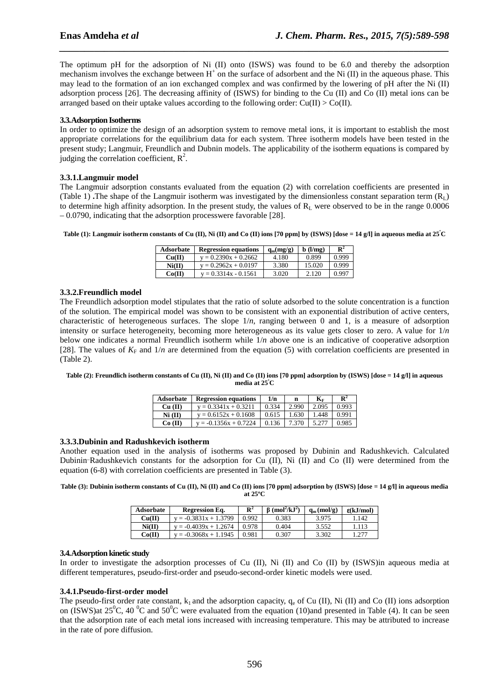The optimum pH for the adsorption of Ni (II) onto (ISWS) was found to be 6.0 and thereby the adsorption mechanism involves the exchange between  $H^+$  on the surface of adsorbent and the Ni (II) in the aqueous phase. This may lead to the formation of an ion exchanged complex and was confirmed by the lowering of pH after the Ni (II) adsorption process [26]. The decreasing affinity of (ISWS) for binding to the Cu (II) and Co (II) metal ions can be arranged based on their uptake values according to the following order:  $Cu(II) > Co(II)$ .

*\_\_\_\_\_\_\_\_\_\_\_\_\_\_\_\_\_\_\_\_\_\_\_\_\_\_\_\_\_\_\_\_\_\_\_\_\_\_\_\_\_\_\_\_\_\_\_\_\_\_\_\_\_\_\_\_\_\_\_\_\_\_\_\_\_\_\_\_\_\_\_\_\_\_\_\_\_\_*

# **3.3.Adsorption Isotherms**

In order to optimize the design of an adsorption system to remove metal ions, it is important to establish the most appropriate correlations for the equilibrium data for each system. Three isotherm models have been tested in the present study; Langmuir, Freundlich and Dubnin models. The applicability of the isotherm equations is compared by judging the correlation coefficient,  $R^2$ .

# **3.3.1.Langmuir model**

The Langmuir adsorption constants evaluated from the equation (2) with correlation coefficients are presented in (Table 1) **.**The shape of the Langmuir isotherm was investigated by the dimensionless constant separation term  $(R<sub>L</sub>)$ to determine high affinity adsorption. In the present study, the values of  $R<sub>L</sub>$  were observed to be in the range 0.0006 – 0.0790, indicating that the adsorption processwere favorable [28].

**Table (1): Langmuir isotherm constants of Cu (II), Ni (II) and Co (II) ions [70 ppm] by (ISWS) [dose = 14 g/l] in aqueous media at 25<sup>º</sup>C** 

| Adsorbate | <b>Regression equations</b> | $q_m(mg/g)$ | $\mathbf b$ (l/mg) | $\mathbf{R}^2$ |
|-----------|-----------------------------|-------------|--------------------|----------------|
| Cu(II)    | $y = 0.2390x + 0.2662$      | 4.180       | 0.899              | 0.999          |
| Ni(II)    | $v = 0.2962x + 0.0197$      | 3.380       | 15.020             | 0.999          |
| Co(II)    | $y = 0.3314x - 0.1561$      | 3.020       | 2.120              | 0.997          |

# **3.3.2.Freundlich model**

The Freundlich adsorption model stipulates that the ratio of solute adsorbed to the solute concentration is a function of the solution. The empirical model was shown to be consistent with an exponential distribution of active centers, characteristic of heterogeneous surfaces. The slope 1/*n*, ranging between 0 and 1, is a measure of adsorption intensity or surface heterogeneity, becoming more heterogeneous as its value gets closer to zero. A value for 1/*n*  below one indicates a normal Freundlich isotherm while 1/*n* above one is an indicative of cooperative adsorption [28]. The values of  $K_F$  and  $1/n$  are determined from the equation (5) with correlation coefficients are presented in (Table 2).

#### **Table (2): Freundlich isotherm constants of Cu (II), Ni (II) and Co (II) ions [70 ppm] adsorption by (ISWS) [dose = 14 g/l] in aqueous media at 25<sup>º</sup>C**

| <b>Adsorbate</b> | <b>Regression equations</b> | 1/n   | n     | $\mathbf{K}_{\mathbf{F}}$ | $\mathbf{R}^2$ |
|------------------|-----------------------------|-------|-------|---------------------------|----------------|
| $Cu$ (II)        | $v = 0.3341x + 0.3211$      | 0.334 | 2.990 | 2.095                     | 0.993          |
| $Ni$ (II)        | $y = 0.6152x + 0.1608$      | 0.615 | 1.630 | 1.448                     | 0.991          |
| $Co$ (II)        | $v = -0.1356x + 0.7224$     | 0.136 | 7.370 | 5.277                     | 0.985          |

# **3.3.3.Dubinin and Radushkevich isotherm**

Another equation used in the analysis of isotherms was proposed by Dubinin and Radushkevich. Calculated Dubinin-Radushkevich constants for the adsorption for Cu  $(II)$ , Ni  $(II)$  and Co  $(II)$  were determined from the equation (6-8) with correlation coefficients are presented in Table (3).

**Table (3): Dubinin isotherm constants of Cu (II), Ni (II) and Co (II) ions [70 ppm] adsorption by (ISWS) [dose = 14 g/l] in aqueous media at 25ºC** 

| Adsorbate | Regression Eq.          | $\mathbf{R}^2$ | $\beta$ (mol <sup>2</sup> /kJ <sup>2</sup> ) | $q_m (mol/g)$ | $\epsilon(kJ/mol)$ |
|-----------|-------------------------|----------------|----------------------------------------------|---------------|--------------------|
| Cu(II)    | $v = -0.3831x + 1.3799$ | 0.992          | 0.383                                        | 3.975         | .142               |
| Ni(II)    | $v = -0.4039x + 1.2674$ | 0.978          | 0.404                                        | 3.552         | .113               |
| Co(II)    | $v = -0.3068x + 1.1945$ | 0.981          | 0.307                                        | 3.302         | .277               |

# **3.4.Adsorption kinetic study**

In order to investigate the adsorption processes of Cu (II), Ni (II) and Co (II) by (ISWS) in aqueous media at different temperatures, pseudo-first-order and pseudo-second-order kinetic models were used.

# **3.4.1.Pseudo-first-order model**

The pseudo-first order rate constant,  $k_1$  and the adsorption capacity,  $q_e$  of Cu (II), Ni (II) and Co (II) ions adsorption on (ISWS)at  $25^0C$ , 40  $^0C$  and  $50^0C$  were evaluated from the equation (10)and presented in Table (4). It can be seen that the adsorption rate of each metal ions increased with increasing temperature. This may be attributed to increase in the rate of pore diffusion.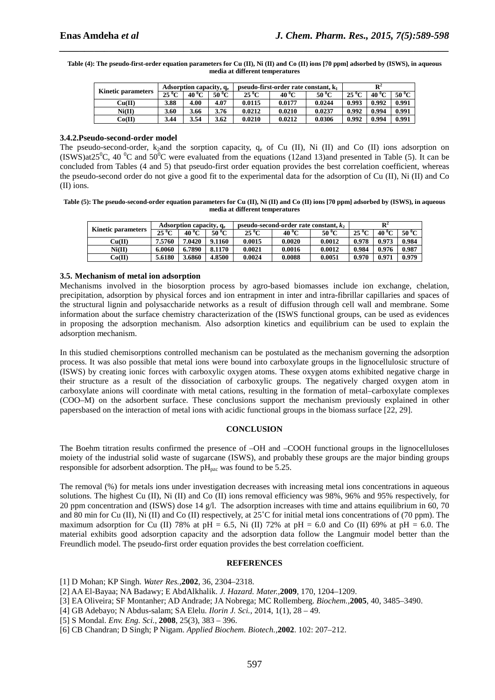**Table (4): The pseudo-first-order equation parameters for Cu (II), Ni (II) and Co (II) ions [70 ppm] adsorbed by (ISWS), in aqueous media at different temperatures** 

*\_\_\_\_\_\_\_\_\_\_\_\_\_\_\_\_\_\_\_\_\_\_\_\_\_\_\_\_\_\_\_\_\_\_\_\_\_\_\_\_\_\_\_\_\_\_\_\_\_\_\_\_\_\_\_\_\_\_\_\_\_\_\_\_\_\_\_\_\_\_\_\_\_\_\_\_\_\_*

| <b>Kinetic parameters</b> | Adsorption capacity, q. |                      |       | pseudo-first-order rate constant, k |        |        | $\mathbf{R}^2$ |                |           |
|---------------------------|-------------------------|----------------------|-------|-------------------------------------|--------|--------|----------------|----------------|-----------|
|                           | $25\,^0$ C              | <sup>o</sup> C<br>40 | 50 °C | $25\,^0$ C                          | 40 ºC  | 50 ºC  | $25\,^0C$      | $40^{\circ}$ C | $50\,^0C$ |
| Cu(II)                    | 3.88                    | 4.00                 | 4.07  | 0.0115                              | 0.0177 | 0.0244 | 0.993          | 0.992          | 0.991     |
| Ni(II)                    | 3.60                    | 3.66                 | 3.76  | 0.0212                              | 0.0210 | 0.0237 | 0.992          | 0.994          | 0.991     |
| Co(II)                    | 3.44                    | 3.54                 | 3.62  | 0.0210                              | 0.0212 | 0.0306 | 0.992          | 0.994          | 0.991     |

#### **3.4.2.Pseudo-second-order model**

The pseudo-second-order,  $k_2$  and the sorption capacity,  $q_e$  of Cu (II), Ni (II) and Co (II) ions adsorption on (ISWS)at25<sup>o</sup>C, 40 <sup>o</sup>C and 50<sup>o</sup>C were evaluated from the equations (12and 13)and presented in Table (5). It can be concluded from Tables (4 and 5) that pseudo-first order equation provides the best correlation coefficient, whereas the pseudo-second order do not give a good fit to the experimental data for the adsorption of Cu (II), Ni (II) and Co (II) ions.

**Table (5): The pseudo-second-order equation parameters for Cu (II), Ni (II) and Co (II) ions [70 ppm] adsorbed by (ISWS), in aqueous media at different temperatures** 

| <b>Kinetic parameters</b>  | Adsorption capacity, q. |                |        | pseudo-second-order rate constant, $k_2$ |           |                | R          |           |           |
|----------------------------|-------------------------|----------------|--------|------------------------------------------|-----------|----------------|------------|-----------|-----------|
|                            | $25\,^0C$               | $40^{\circ}$ C | 50 ºC  | $25\,^0C$                                | $40\,^0C$ | $50^{\circ}$ C | $25\,^0$ C | $40\,^0C$ | $50\,^0C$ |
| $\mathrm{Cu}(\mathrm{II})$ | 7.5760                  | 7.0420         | 9.1160 | 0.0015                                   | 0.0020    | 0.0012         | 0.978      | 0.973     | 0.984     |
| Ni(II)                     | 6.0060                  | 6.7890         | 8.1170 | 0.0021                                   | 0.0016    | 0.0012         | 0.984      | 0.976     | 0.987     |
| Co(II)                     | 5.6180                  | 3.6860         | 4.8500 | 0.0024                                   | 0.0088    | 0.0051         | 0.970      | 0.971     | 0.979     |

# **3.5. Mechanism of metal ion adsorption**

Mechanisms involved in the biosorption process by agro-based biomasses include ion exchange, chelation, precipitation, adsorption by physical forces and ion entrapment in inter and intra-fibrillar capillaries and spaces of the structural lignin and polysaccharide networks as a result of diffusion through cell wall and membrane. Some information about the surface chemistry characterization of the (ISWS functional groups, can be used as evidences in proposing the adsorption mechanism. Also adsorption kinetics and equilibrium can be used to explain the adsorption mechanism.

In this studied chemisorptions controlled mechanism can be postulated as the mechanism governing the adsorption process. It was also possible that metal ions were bound into carboxylate groups in the lignocellulosic structure of (ISWS) by creating ionic forces with carboxylic oxygen atoms. These oxygen atoms exhibited negative charge in their structure as a result of the dissociation of carboxylic groups. The negatively charged oxygen atom in carboxylate anions will coordinate with metal cations, resulting in the formation of metal–carboxylate complexes (COO–M) on the adsorbent surface. These conclusions support the mechanism previously explained in other papersbased on the interaction of metal ions with acidic functional groups in the biomass surface [22, 29].

# **CONCLUSION**

The Boehm titration results confirmed the presence of –OH and –COOH functional groups in the lignocelluloses moiety of the industrial solid waste of sugarcane (ISWS), and probably these groups are the major binding groups responsible for adsorbent adsorption. The  $pH_{pzc}$  was found to be 5.25.

The removal (%) for metals ions under investigation decreases with increasing metal ions concentrations in aqueous solutions. The highest Cu (II), Ni (II) and Co (II) ions removal efficiency was 98%, 96% and 95% respectively, for 20 ppm concentration and (ISWS) dose 14 g/l. The adsorption increases with time and attains equilibrium in 60, 70 and 80 min for Cu (II), Ni (II) and Co (II) respectively, at 25˚C for initial metal ions concentrations of (70 ppm). The maximum adsorption for Cu (II) 78% at pH = 6.5, Ni (II) 72% at pH = 6.0 and Co (II) 69% at pH = 6.0. The material exhibits good adsorption capacity and the adsorption data follow the Langmuir model better than the Freundlich model. The pseudo-first order equation provides the best correlation coefficient.

#### **REFERENCES**

- [1] D Mohan; KP Singh. *Water Res.,***2002**, 36, 2304–2318.
- [2] AA El-Bayaa; NA Badawy; E AbdAlkhalik. *J. Hazard. Mater.,***2009**, 170, 1204–1209.
- [3] EA Oliveira; SF Montanher; AD Andrade; JA Nobrega; MC Rollemberg. *Biochem.,***2005**, 40, 3485–3490.
- [4] GB Adebayo; N Abdus-salam; SA Elelu. *Ilorin J. Sci.,* 2014, 1(1), 28 49.
- [5] S Mondal. *Env. Eng. Sci.*, **2008**, 25(3), 383 396.
- [6] CB Chandran; D Singh; P Nigam. *Applied Biochem. Biotech.,***2002**. 102: 207–212.